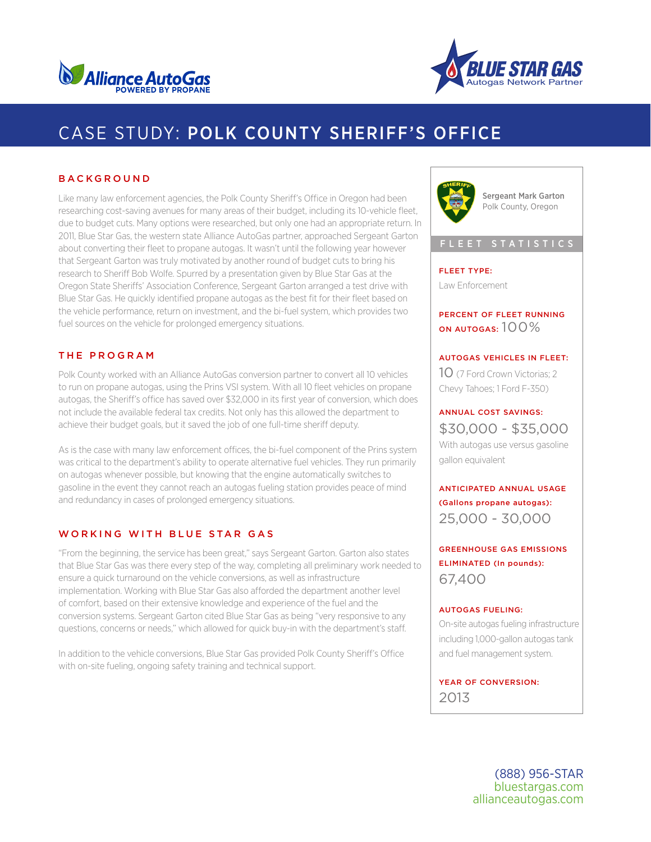



# CASE STUDY: POLK COUNTY SHERIFF'S OFFICE

#### BACKGROUND

Like many law enforcement agencies, the Polk County Sheriff's Office in Oregon had been researching cost-saving avenues for many areas of their budget, including its 10-vehicle fleet, due to budget cuts. Many options were researched, but only one had an appropriate return. In 2011, Blue Star Gas, the western state Alliance AutoGas partner, approached Sergeant Garton about converting their fleet to propane autogas. It wasn't until the following year however that Sergeant Garton was truly motivated by another round of budget cuts to bring his research to Sheriff Bob Wolfe. Spurred by a presentation given by Blue Star Gas at the Oregon State Sheriffs' Association Conference, Sergeant Garton arranged a test drive with Blue Star Gas. He quickly identified propane autogas as the best fit for their fleet based on the vehicle performance, return on investment, and the bi-fuel system, which provides two fuel sources on the vehicle for prolonged emergency situations.

#### THE PROGRAM

Polk County worked with an Alliance AutoGas conversion partner to convert all 10 vehicles to run on propane autogas, using the Prins VSI system. With all 10 fleet vehicles on propane autogas, the Sheriff's office has saved over \$32,000 in its first year of conversion, which does not include the available federal tax credits. Not only has this allowed the department to achieve their budget goals, but it saved the job of one full-time sheriff deputy.

As is the case with many law enforcement offices, the bi-fuel component of the Prins system was critical to the department's ability to operate alternative fuel vehicles. They run primarily on autogas whenever possible, but knowing that the engine automatically switches to gasoline in the event they cannot reach an autogas fueling station provides peace of mind and redundancy in cases of prolonged emergency situations.

#### WORKING WITH BLUE STAR GAS

"From the beginning, the service has been great," says Sergeant Garton. Garton also states that Blue Star Gas was there every step of the way, completing all preliminary work needed to ensure a quick turnaround on the vehicle conversions, as well as infrastructure implementation. Working with Blue Star Gas also afforded the department another level of comfort, based on their extensive knowledge and experience of the fuel and the conversion systems. Sergeant Garton cited Blue Star Gas as being "very responsive to any questions, concerns or needs," which allowed for quick buy-in with the department's staff.

In addition to the vehicle conversions, Blue Star Gas provided Polk County Sheriff's Office with on-site fueling, ongoing safety training and technical support.



Sergeant Mark Garton Polk County, Oregon

#### FLEET STATISTICS

## FLEET TYPE:

Law Enforcement

### PERCENT OF FLEET RUNNING ON AUTOGAS:  $100\%$

### AUTOGAS VEHICLES IN FLEET:

10 (7 Ford Crown Victorias; 2 Chevy Tahoes; 1 Ford F-350)

#### ANNUAL COST SAVINGS:

\$30,000 - \$35,000 With autogas use versus gasoline gallon equivalent

ANTICIPATED ANNUAL USAGE (Gallons propane autogas): 25,000 - 30,000

GREENHOUSE GAS EMISSIONS ELIMINATED (In pounds): 67,400

#### AUTOGAS FUELING:

On-site autogas fueling infrastructure including 1,000-gallon autogas tank and fuel management system.

YEAR OF CONVERSION: 2013